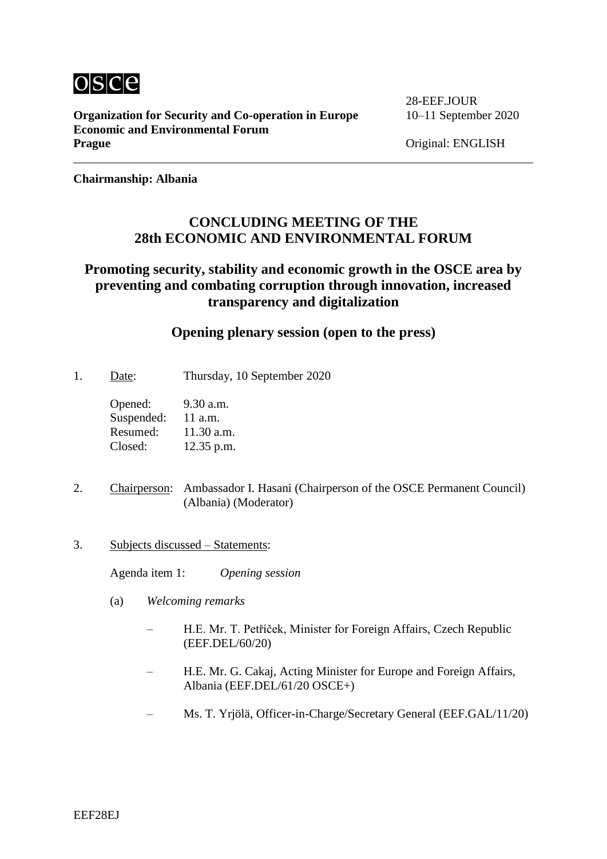

**Organization for Security and Co-operation in Europe** 10–11 September 2020 **Economic and Environmental Forum** Prague Original: ENGLISH

28-EEF JOUR

**Chairmanship: Albania**

### **CONCLUDING MEETING OF THE 28th ECONOMIC AND ENVIRONMENTAL FORUM**

# **Promoting security, stability and economic growth in the OSCE area by preventing and combating corruption through innovation, increased transparency and digitalization**

**Opening plenary session (open to the press)**

1. Date: Thursday, 10 September 2020

Opened: 9.30 a.m. Suspended: 11 a.m. Resumed: 11.30 a.m. Closed: 12.35 p.m.

- 2. Chairperson: Ambassador I. Hasani (Chairperson of the OSCE Permanent Council) (Albania) (Moderator)
- 3. Subjects discussed Statements:

Agenda item 1: *Opening session*

- (a) *Welcoming remarks*
	- H.E. Mr. T. Petříček, Minister for Foreign Affairs, Czech Republic (EEF.DEL/60/20)
	- H.E. Mr. G. Cakaj, Acting Minister for Europe and Foreign Affairs, Albania (EEF.DEL/61/20 OSCE+)
	- Ms. T. Yrjölä, Officer-in-Charge/Secretary General (EEF.GAL/11/20)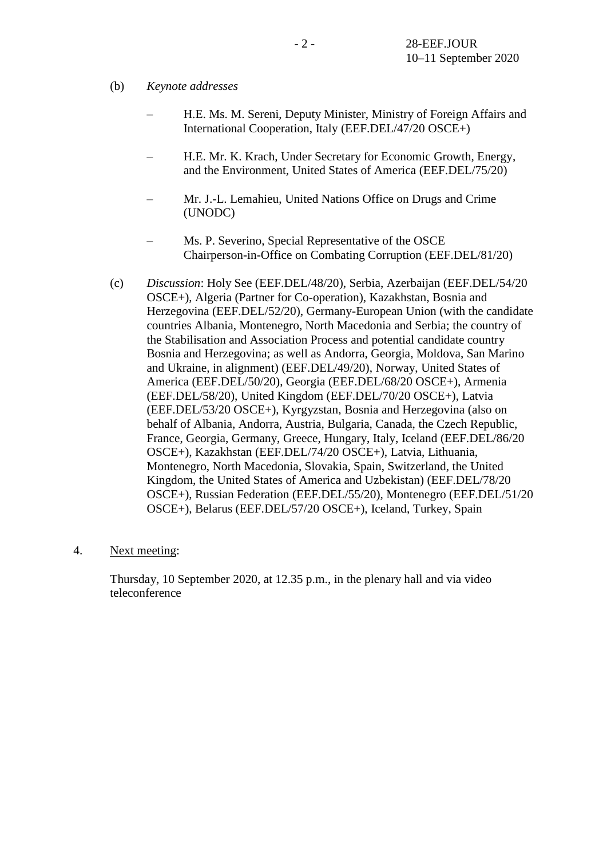- (b) *Keynote addresses*
	- H.E. Ms. M. Sereni, Deputy Minister, Ministry of Foreign Affairs and International Cooperation, Italy (EEF.DEL/47/20 OSCE+)
	- H.E. Mr. K. Krach, Under Secretary for Economic Growth, Energy, and the Environment, United States of America (EEF.DEL/75/20)
	- Mr. J.-L. Lemahieu, United Nations Office on Drugs and Crime (UNODC)
	- Ms. P. Severino, Special Representative of the OSCE Chairperson-in-Office on Combating Corruption (EEF.DEL/81/20)
- (c) *Discussion*: Holy See (EEF.DEL/48/20), Serbia, Azerbaijan (EEF.DEL/54/20 OSCE+), Algeria (Partner for Co-operation), Kazakhstan, Bosnia and Herzegovina (EEF.DEL/52/20), Germany-European Union (with the candidate countries Albania, Montenegro, North Macedonia and Serbia; the country of the Stabilisation and Association Process and potential candidate country Bosnia and Herzegovina; as well as Andorra, Georgia, Moldova, San Marino and Ukraine, in alignment) (EEF.DEL/49/20), Norway, United States of America (EEF.DEL/50/20), Georgia (EEF.DEL/68/20 OSCE+), Armenia (EEF.DEL/58/20), United Kingdom (EEF.DEL/70/20 OSCE+), Latvia (EEF.DEL/53/20 OSCE+), Kyrgyzstan, Bosnia and Herzegovina (also on behalf of Albania, Andorra, Austria, Bulgaria, Canada, the Czech Republic, France, Georgia, Germany, Greece, Hungary, Italy, Iceland (EEF.DEL/86/20 OSCE+), Kazakhstan (EEF.DEL/74/20 OSCE+), Latvia, Lithuania, Montenegro, North Macedonia, Slovakia, Spain, Switzerland, the United Kingdom, the United States of America and Uzbekistan) (EEF.DEL/78/20 OSCE+), Russian Federation (EEF.DEL/55/20), Montenegro (EEF.DEL/51/20 OSCE+), Belarus (EEF.DEL/57/20 OSCE+), Iceland, Turkey, Spain
- 4. Next meeting:

Thursday, 10 September 2020, at 12.35 p.m., in the plenary hall and via video teleconference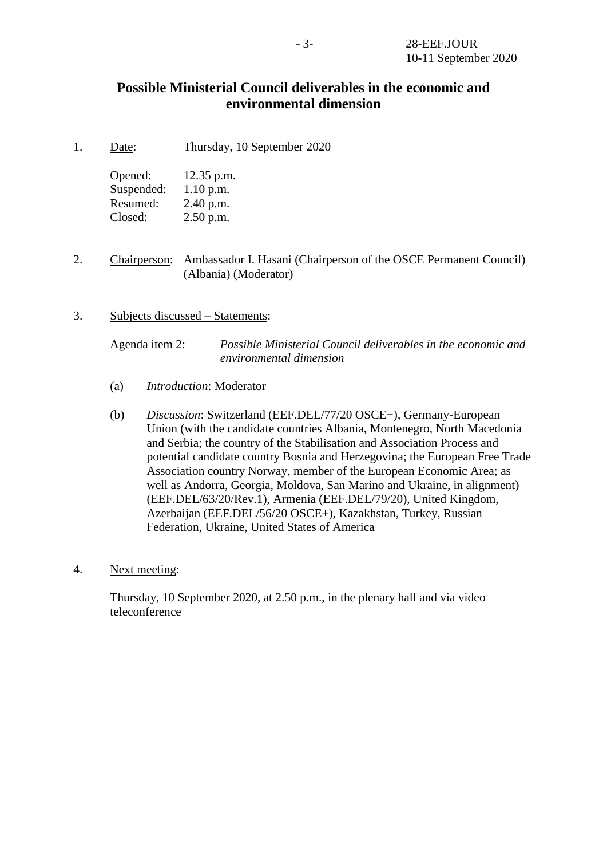### **Possible Ministerial Council deliverables in the economic and environmental dimension**

1. Date: Thursday, 10 September 2020

Opened: 12.35 p.m. Suspended: 1.10 p.m. Resumed: 2.40 p.m. Closed: 2.50 p.m.

- 2. Chairperson: Ambassador I. Hasani (Chairperson of the OSCE Permanent Council) (Albania) (Moderator)
- 3. Subjects discussed Statements:

Agenda item 2: *Possible Ministerial Council deliverables in the economic and environmental dimension*

- (a) *Introduction*: Moderator
- (b) *Discussion*: Switzerland (EEF.DEL/77/20 OSCE+), Germany-European Union (with the candidate countries Albania, Montenegro, North Macedonia and Serbia; the country of the Stabilisation and Association Process and potential candidate country Bosnia and Herzegovina; the European Free Trade Association country Norway, member of the European Economic Area; as well as Andorra, Georgia, Moldova, San Marino and Ukraine, in alignment) (EEF.DEL/63/20/Rev.1), Armenia (EEF.DEL/79/20), United Kingdom, Azerbaijan (EEF.DEL/56/20 OSCE+), Kazakhstan, Turkey, Russian Federation, Ukraine, United States of America
- 4. Next meeting:

Thursday, 10 September 2020, at 2.50 p.m., in the plenary hall and via video teleconference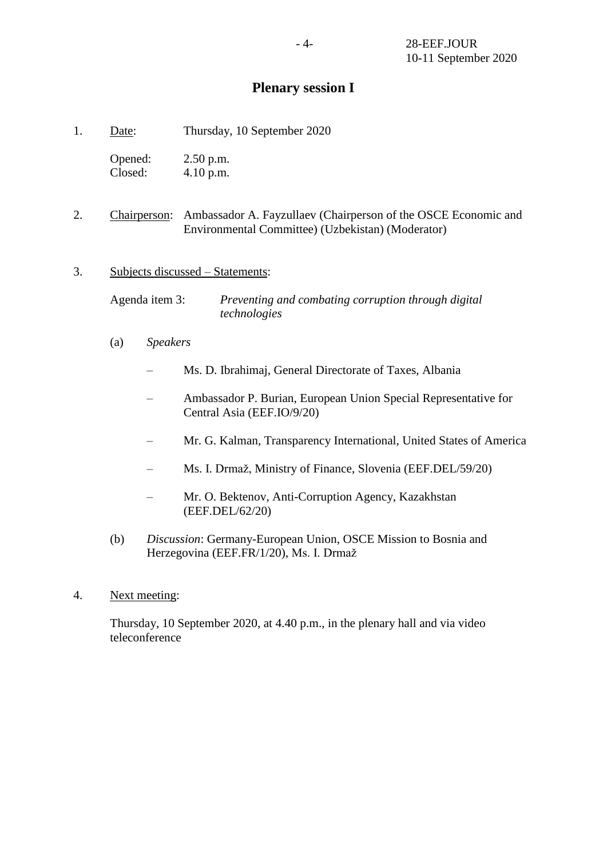# **Plenary session I**

| Date: | Thursday, 10 September 2020 |  |  |
|-------|-----------------------------|--|--|
|       |                             |  |  |

Opened: 2.50 p.m. Closed: 4.10 p.m.

2. Chairperson: Ambassador A. Fayzullaev (Chairperson of the OSCE Economic and Environmental Committee) (Uzbekistan) (Moderator)

#### 3. Subjects discussed – Statements:

Agenda item 3: *Preventing and combating corruption through digital technologies*

- (a) *Speakers*
	- Ms. D. Ibrahimaj, General Directorate of Taxes, Albania
	- Ambassador P. Burian, European Union Special Representative for Central Asia (EEF.IO/9/20)
	- Mr. G. Kalman, Transparency International, United States of America
	- Ms. I. Drmaž, Ministry of Finance, Slovenia (EEF.DEL/59/20)
	- Mr. O. Bektenov, Anti-Corruption Agency, Kazakhstan (EEF.DEL/62/20)
- (b) *Discussion*: Germany-European Union, OSCE Mission to Bosnia and Herzegovina (EEF.FR/1/20), Ms. I. Drmaž
- 4. Next meeting:

Thursday, 10 September 2020, at 4.40 p.m., in the plenary hall and via video teleconference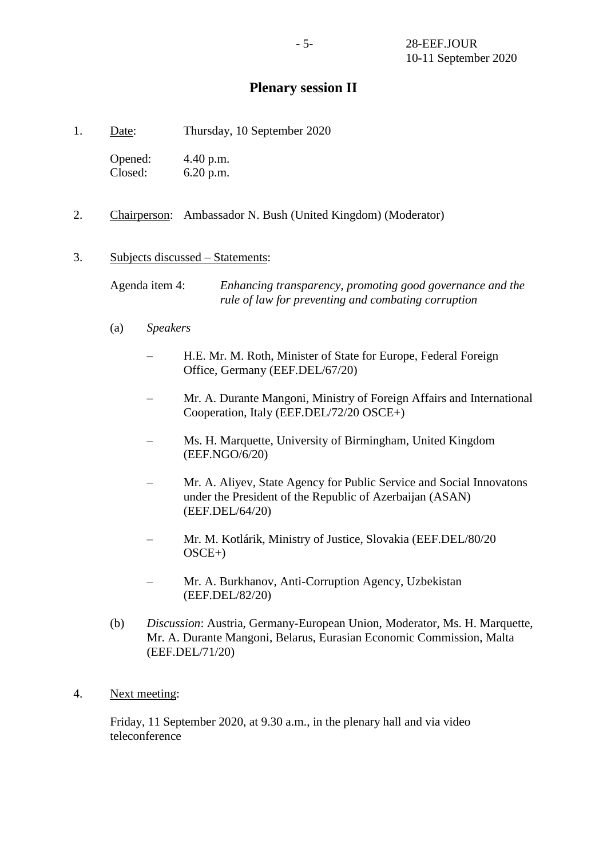### **Plenary session II**

1. Date: Thursday, 10 September 2020

Opened: 4.40 p.m. Closed: 6.20 p.m.

2. Chairperson: Ambassador N. Bush (United Kingdom) (Moderator)

#### 3. Subjects discussed – Statements:

Agenda item 4: *Enhancing transparency, promoting good governance and the rule of law for preventing and combating corruption*

- (a) *Speakers*
	- H.E. Mr. M. Roth, Minister of State for Europe, Federal Foreign Office, Germany (EEF.DEL/67/20)
	- Mr. A. Durante Mangoni, Ministry of Foreign Affairs and International Cooperation, Italy (EEF.DEL/72/20 OSCE+)
	- Ms. H. Marquette, University of Birmingham, United Kingdom (EEF.NGO/6/20)
	- Mr. A. Aliyev, State Agency for Public Service and Social Innovatons under the President of the Republic of Azerbaijan (ASAN) (EEF.DEL/64/20)
	- Mr. M. Kotlárik, Ministry of Justice, Slovakia (EEF.DEL/80/20  $OSCE+$ )
	- Mr. A. Burkhanov, Anti-Corruption Agency, Uzbekistan (EEF.DEL/82/20)
- (b) *Discussion*: Austria, Germany-European Union, Moderator, Ms. H. Marquette, Mr. A. Durante Mangoni, Belarus, Eurasian Economic Commission, Malta (EEF.DEL/71/20)
- 4. Next meeting:

Friday, 11 September 2020, at 9.30 a.m., in the plenary hall and via video teleconference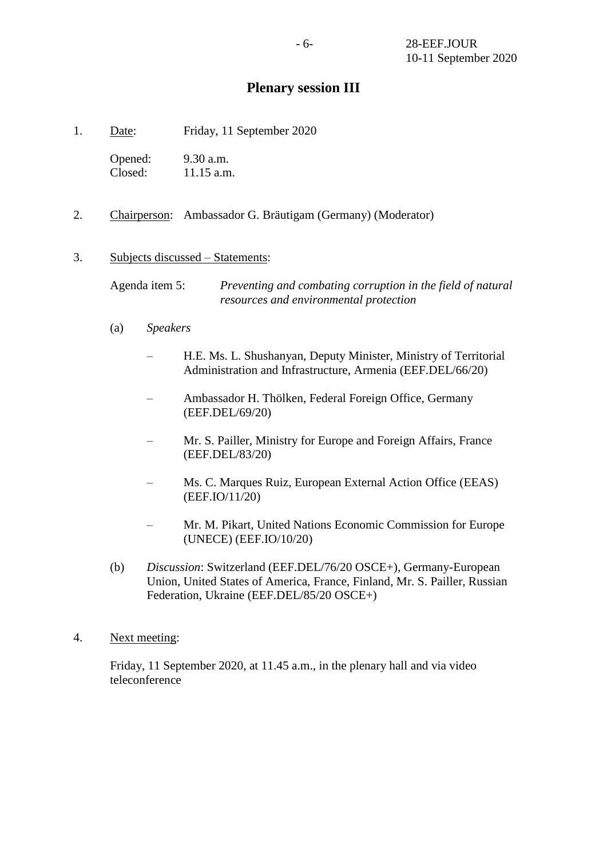## **Plenary session III**

1. Date: Friday, 11 September 2020

Opened: 9.30 a.m. Closed: 11.15 a.m.

2. Chairperson: Ambassador G. Bräutigam (Germany) (Moderator)

#### 3. Subjects discussed – Statements:

Agenda item 5: *Preventing and combating corruption in the field of natural resources and environmental protection*

- (a) *Speakers*
	- H.E. Ms. L. Shushanyan, Deputy Minister, Ministry of Territorial Administration and Infrastructure, Armenia (EEF.DEL/66/20)
	- Ambassador H. Thölken, Federal Foreign Office, Germany (EEF.DEL/69/20)
	- Mr. S. Pailler, Ministry for Europe and Foreign Affairs, France (EEF.DEL/83/20)
	- Ms. C. Marques Ruiz, European External Action Office (EEAS) (EEF.IO/11/20)
	- Mr. M. Pikart, United Nations Economic Commission for Europe (UNECE) (EEF.IO/10/20)
- (b) *Discussion*: Switzerland (EEF.DEL/76/20 OSCE+), Germany-European Union, United States of America, France, Finland, Mr. S. Pailler, Russian Federation, Ukraine (EEF.DEL/85/20 OSCE+)
- 4. Next meeting:

Friday, 11 September 2020, at 11.45 a.m., in the plenary hall and via video teleconference